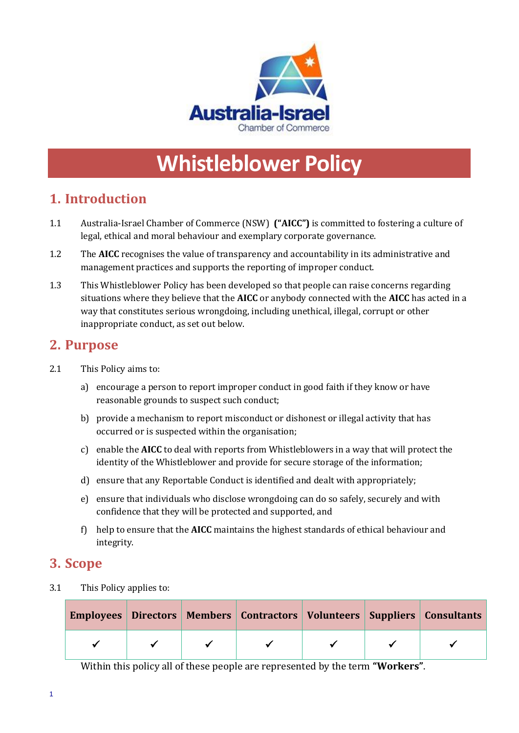

# **Whistleblower Policy**

# **1. Introduction**

- 1.1 Australia-Israel Chamber of Commerce (NSW) **("AICC")** is committed to fostering a culture of legal, ethical and moral behaviour and exemplary corporate governance.
- 1.2 The **AICC** recognises the value of transparency and accountability in its administrative and management practices and supports the reporting of improper conduct.
- 1.3 This Whistleblower Policy has been developed so that people can raise concerns regarding situations where they believe that the **AICC** or anybody connected with the **AICC** has acted in a way that constitutes serious wrongdoing, including unethical, illegal, corrupt or other inappropriate conduct, as set out below.

## **2. Purpose**

- 2.1 This Policy aims to:
	- a) encourage a person to report improper conduct in good faith if they know or have reasonable grounds to suspect such conduct;
	- b) provide a mechanism to report misconduct or dishonest or illegal activity that has occurred or is suspected within the organisation;
	- c) enable the **AICC** to deal with reports from Whistleblowers in a way that will protect the identity of the Whistleblower and provide for secure storage of the information;
	- d) ensure that any Reportable Conduct is identified and dealt with appropriately;
	- e) ensure that individuals who disclose wrongdoing can do so safely, securely and with confidence that they will be protected and supported, and
	- f) help to ensure that the **AICC** maintains the highest standards of ethical behaviour and integrity.

## **3. Scope**

3.1 This Policy applies to:

|  |  |  | Employees   Directors   Members   Contractors   Volunteers   Suppliers   Consultants |
|--|--|--|--------------------------------------------------------------------------------------|
|  |  |  |                                                                                      |

Within this policy all of these people are represented by the term **"Workers"**.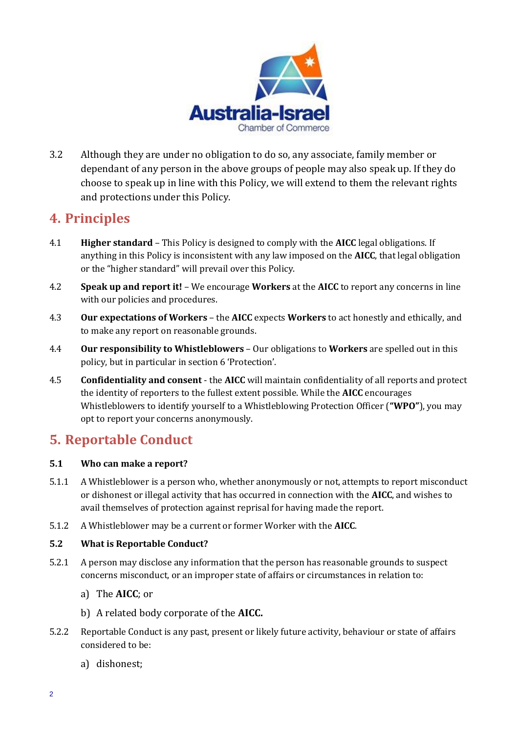

3.2 Although they are under no obligation to do so, any associate, family member or dependant of any person in the above groups of people may also speak up. If they do choose to speak up in line with this Policy, we will extend to them the relevant rights and protections under this Policy.

## **4. Principles**

- 4.1 **Higher standard**  This Policy is designed to comply with the **AICC** legal obligations. If anything in this Policy is inconsistent with any law imposed on the **AICC**, that legal obligation or the "higher standard" will prevail over this Policy.
- 4.2 **Speak up and report it!**  We encourage **Workers** at the **AICC** to report any concerns in line with our policies and procedures.
- 4.3 **Our expectations of Workers**  the **AICC** expects **Workers** to act honestly and ethically, and to make any report on reasonable grounds.
- 4.4 **Our responsibility to Whistleblowers** Our obligations to **Workers** are spelled out in this policy, but in particular in section 6 'Protection'.
- 4.5 **Confidentiality and consent**  the **AICC** will maintain confidentiality of all reports and protect the identity of reporters to the fullest extent possible. While the **AICC** encourages Whistleblowers to identify yourself to a Whistleblowing Protection Officer (**"WPO"**), you may opt to report your concerns anonymously.

# **5. Reportable Conduct**

#### **5.1 Who can make a report?**

- 5.1.1 A Whistleblower is a person who, whether anonymously or not, attempts to report misconduct or dishonest or illegal activity that has occurred in connection with the **AICC**, and wishes to avail themselves of protection against reprisal for having made the report.
- 5.1.2 A Whistleblower may be a current or former Worker with the **AICC**.

#### **5.2 What is Reportable Conduct?**

- 5.2.1 A person may disclose any information that the person has reasonable grounds to suspect concerns misconduct, or an improper state of affairs or circumstances in relation to:
	- a) The **AICC**; or
	- b) A related body corporate of the **AICC.**
- 5.2.2 Reportable Conduct is any past, present or likely future activity, behaviour or state of affairs considered to be:
	- a) dishonest;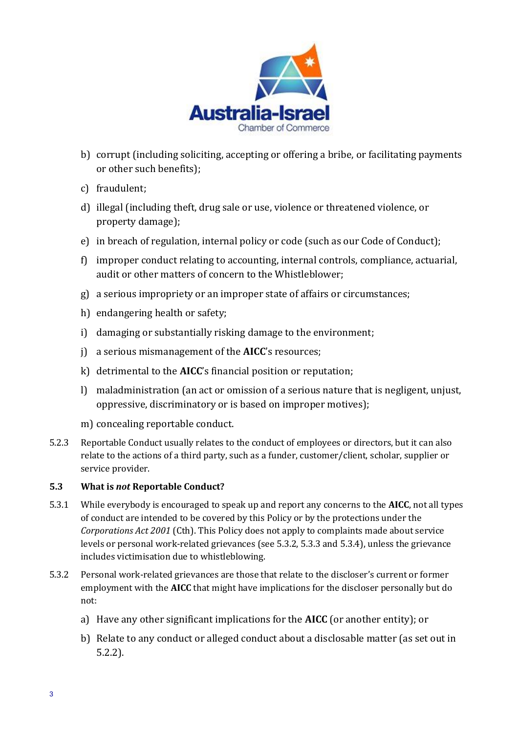

- b) corrupt (including soliciting, accepting or offering a bribe, or facilitating payments or other such benefits);
- c) fraudulent;
- d) illegal (including theft, drug sale or use, violence or threatened violence, or property damage);
- e) in breach of regulation, internal policy or code (such as our Code of Conduct);
- f) improper conduct relating to accounting, internal controls, compliance, actuarial, audit or other matters of concern to the Whistleblower;
- g) a serious impropriety or an improper state of affairs or circumstances;
- h) endangering health or safety;
- i) damaging or substantially risking damage to the environment;
- j) a serious mismanagement of the **AICC**'s resources;
- k) detrimental to the **AICC**'s financial position or reputation;
- l) maladministration (an act or omission of a serious nature that is negligent, unjust, oppressive, discriminatory or is based on improper motives);
- m) concealing reportable conduct.
- 5.2.3 Reportable Conduct usually relates to the conduct of employees or directors, but it can also relate to the actions of a third party, such as a funder, customer/client, scholar, supplier or service provider.

#### **5.3 What is** *not* **Reportable Conduct?**

- 5.3.1 While everybody is encouraged to speak up and report any concerns to the **AICC**, not all types of conduct are intended to be covered by this Policy or by the protections under the *Corporations Act 2001* (Cth). This Policy does not apply to complaints made about service levels or personal work-related grievances (see 5.3.2, 5.3.3 and 5.3.4), unless the grievance includes victimisation due to whistleblowing.
- 5.3.2 Personal work-related grievances are those that relate to the discloser's current or former employment with the **AICC** that might have implications for the discloser personally but do not:
	- a) Have any other significant implications for the **AICC** (or another entity); or
	- b) Relate to any conduct or alleged conduct about a disclosable matter (as set out in 5.2.2).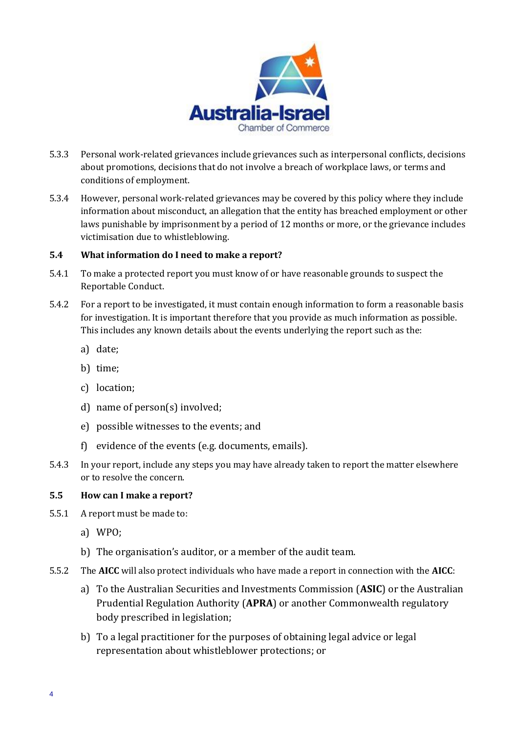

- 5.3.3 Personal work-related grievances include grievances such as interpersonal conflicts, decisions about promotions, decisions that do not involve a breach of workplace laws, or terms and conditions of employment.
- 5.3.4 However, personal work-related grievances may be covered by this policy where they include information about misconduct, an allegation that the entity has breached employment or other laws punishable by imprisonment by a period of 12 months or more, or the grievance includes victimisation due to whistleblowing.

#### **5.4 What information do I need to make a report?**

- 5.4.1 To make a protected report you must know of or have reasonable grounds to suspect the Reportable Conduct.
- 5.4.2 For a report to be investigated, it must contain enough information to form a reasonable basis for investigation. It is important therefore that you provide as much information as possible. This includes any known details about the events underlying the report such as the:
	- a) date;
	- b) time;
	- c) location;
	- d) name of person(s) involved;
	- e) possible witnesses to the events; and
	- f) evidence of the events (e.g. documents, emails).
- 5.4.3 In your report, include any steps you may have already taken to report the matter elsewhere or to resolve the concern.

#### **5.5 How can I make a report?**

- 5.5.1 A report must be made to:
	- a) WPO;
	- b) The organisation's auditor, or a member of the audit team.
- 5.5.2 The **AICC** will also protect individuals who have made a report in connection with the **AICC**:
	- a) To the Australian Securities and Investments Commission (**ASIC**) or the Australian Prudential Regulation Authority (**APRA**) or another Commonwealth regulatory body prescribed in legislation;
	- b) To a legal practitioner for the purposes of obtaining legal advice or legal representation about whistleblower protections; or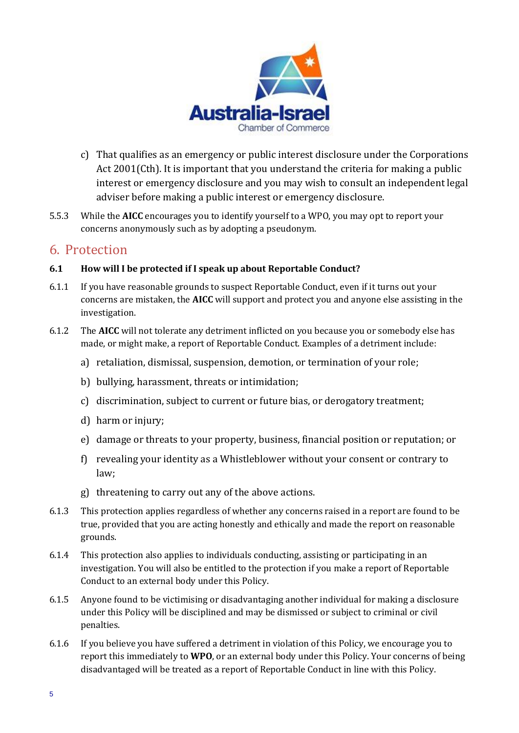

- c) That qualifies as an emergency or public interest disclosure under the Corporations Act 2001(Cth). It is important that you understand the criteria for making a public interest or emergency disclosure and you may wish to consult an independent legal adviser before making a public interest or emergency disclosure.
- 5.5.3 While the **AICC** encourages you to identify yourself to a WPO, you may opt to report your concerns anonymously such as by adopting a pseudonym.

## 6. Protection

#### **6.1 How will I be protected if I speak up about Reportable Conduct?**

- 6.1.1 If you have reasonable grounds to suspect Reportable Conduct, even if it turns out your concerns are mistaken, the **AICC** will support and protect you and anyone else assisting in the investigation.
- 6.1.2 The **AICC** will not tolerate any detriment inflicted on you because you or somebody else has made, or might make, a report of Reportable Conduct. Examples of a detriment include:
	- a) retaliation, dismissal, suspension, demotion, or termination of your role;
	- b) bullying, harassment, threats or intimidation;
	- c) discrimination, subject to current or future bias, or derogatory treatment;
	- d) harm or injury;
	- e) damage or threats to your property, business, financial position or reputation; or
	- f) revealing your identity as a Whistleblower without your consent or contrary to law;
	- g) threatening to carry out any of the above actions.
- 6.1.3 This protection applies regardless of whether any concerns raised in a report are found to be true, provided that you are acting honestly and ethically and made the report on reasonable grounds.
- 6.1.4 This protection also applies to individuals conducting, assisting or participating in an investigation. You will also be entitled to the protection if you make a report of Reportable Conduct to an external body under this Policy.
- 6.1.5 Anyone found to be victimising or disadvantaging another individual for making a disclosure under this Policy will be disciplined and may be dismissed or subject to criminal or civil penalties.
- 6.1.6 If you believe you have suffered a detriment in violation of this Policy, we encourage you to report this immediately to **WPO**, or an external body under this Policy. Your concerns of being disadvantaged will be treated as a report of Reportable Conduct in line with this Policy.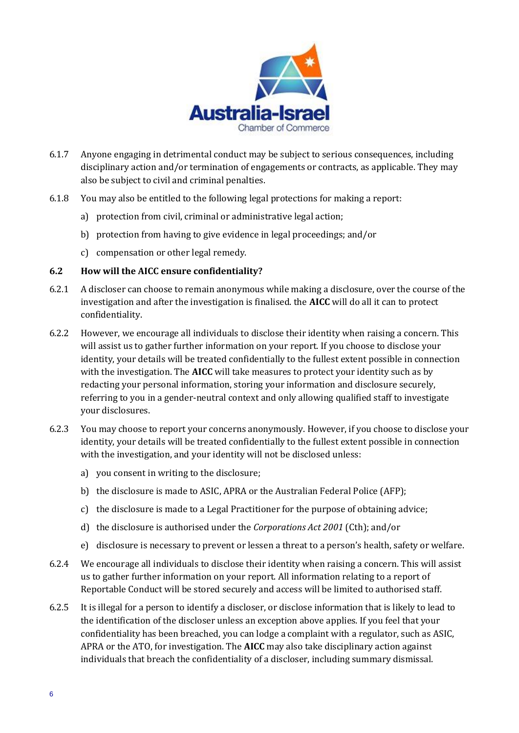

- 6.1.7 Anyone engaging in detrimental conduct may be subject to serious consequences, including disciplinary action and/or termination of engagements or contracts, as applicable. They may also be subject to civil and criminal penalties.
- 6.1.8 You may also be entitled to the following legal protections for making a report:
	- a) protection from civil, criminal or administrative legal action;
	- b) protection from having to give evidence in legal proceedings; and/or
	- c) compensation or other legal remedy.

#### **6.2 How will the AICC ensure confidentiality?**

- 6.2.1 A discloser can choose to remain anonymous while making a disclosure, over the course of the investigation and after the investigation is finalised. the **AICC** will do all it can to protect confidentiality.
- 6.2.2 However, we encourage all individuals to disclose their identity when raising a concern. This will assist us to gather further information on your report. If you choose to disclose your identity, your details will be treated confidentially to the fullest extent possible in connection with the investigation. The **AICC** will take measures to protect your identity such as by redacting your personal information, storing your information and disclosure securely, referring to you in a gender-neutral context and only allowing qualified staff to investigate your disclosures.
- 6.2.3 You may choose to report your concerns anonymously. However, if you choose to disclose your identity, your details will be treated confidentially to the fullest extent possible in connection with the investigation, and your identity will not be disclosed unless:
	- a) you consent in writing to the disclosure;
	- b) the disclosure is made to ASIC, APRA or the Australian Federal Police (AFP);
	- c) the disclosure is made to a Legal Practitioner for the purpose of obtaining advice;
	- d) the disclosure is authorised under the *Corporations Act 2001* (Cth); and/or
	- e) disclosure is necessary to prevent or lessen a threat to a person's health, safety or welfare.
- 6.2.4 We encourage all individuals to disclose their identity when raising a concern. This will assist us to gather further information on your report. All information relating to a report of Reportable Conduct will be stored securely and access will be limited to authorised staff.
- 6.2.5 It is illegal for a person to identify a discloser, or disclose information that is likely to lead to the identification of the discloser unless an exception above applies. If you feel that your confidentiality has been breached, you can lodge a complaint with a regulator, such as ASIC, APRA or the ATO, for investigation. The **AICC** may also take disciplinary action against individuals that breach the confidentiality of a discloser, including summary dismissal.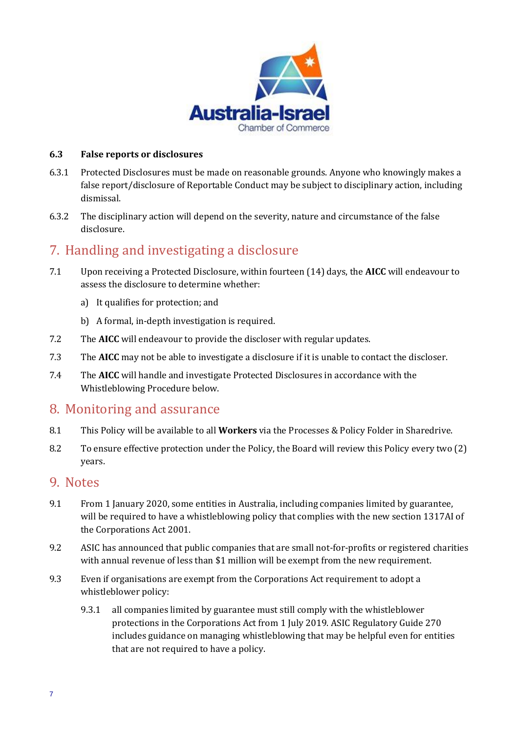

#### **6.3 False reports or disclosures**

- 6.3.1 Protected Disclosures must be made on reasonable grounds. Anyone who knowingly makes a false report/disclosure of Reportable Conduct may be subject to disciplinary action, including dismissal.
- 6.3.2 The disciplinary action will depend on the severity, nature and circumstance of the false disclosure.

## 7. Handling and investigating a disclosure

- 7.1 Upon receiving a Protected Disclosure, within fourteen (14) days, the **AICC** will endeavour to assess the disclosure to determine whether:
	- a) It qualifies for protection; and
	- b) A formal, in-depth investigation is required.
- 7.2 The **AICC** will endeavour to provide the discloser with regular updates.
- 7.3 The **AICC** may not be able to investigate a disclosure if it is unable to contact the discloser.
- 7.4 The **AICC** will handle and investigate Protected Disclosures in accordance with the Whistleblowing Procedure below.

## 8. Monitoring and assurance

- 8.1 This Policy will be available to all **Workers** via the Processes & Policy Folder in Sharedrive.
- 8.2 To ensure effective protection under the Policy, the Board will review this Policy every two (2) years.

## 9. Notes

- 9.1 From 1 January 2020, some entities in Australia, including companies limited by guarantee, will be required to have a whistleblowing policy that complies with the new section 1317AI of the Corporations Act 2001.
- 9.2 ASIC has announced that public companies that are small not-for-profits or registered charities with annual revenue of less than \$1 million will be exempt from the new requirement.
- 9.3 Even if organisations are exempt from the Corporations Act requirement to adopt a whistleblower policy:
	- 9.3.1 all companies limited by guarantee must still comply with the whistleblower protections in the Corporations Act from 1 July 2019. ASIC Regulatory Guide 270 includes guidance on managing whistleblowing that may be helpful even for entities that are not required to have a policy.